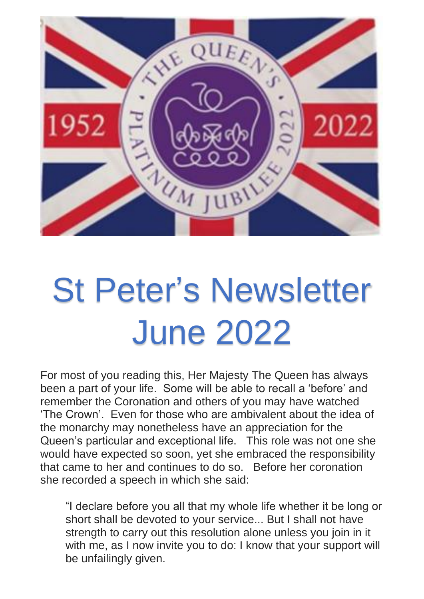

## St Peter's Newsletter June 2022

For most of you reading this, Her Majesty The Queen has always been a part of your life. Some will be able to recall a 'before' and remember the Coronation and others of you may have watched 'The Crown'. Even for those who are ambivalent about the idea of the monarchy may nonetheless have an appreciation for the Queen's particular and exceptional life. This role was not one she would have expected so soon, yet she embraced the responsibility that came to her and continues to do so. Before her coronation she recorded a speech in which she said:

"I declare before you all that my whole life whether it be long or short shall be devoted to your service... But I shall not have strength to carry out this resolution alone unless you join in it with me, as I now invite you to do: I know that your support will be unfailingly given.